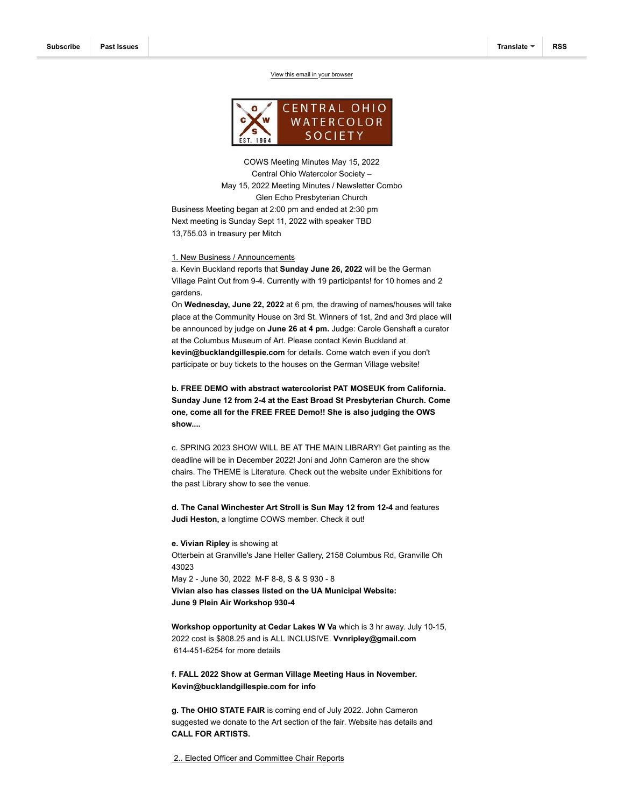

COWS Meeting Minutes May 15, 2022 Central Ohio Watercolor Society – May 15, 2022 Meeting Minutes / Newsletter Combo Glen Echo Presbyterian Church Business Meeting began at 2:00 pm and ended at 2:30 pm

Next meeting is Sunday Sept 11, 2022 with speaker TBD 13,755.03 in treasury per Mitch

1. New Business / Announcements

a. Kevin Buckland reports that **Sunday June 26, 2022** will be the German Village Paint Out from 9-4. Currently with 19 participants! for 10 homes and 2 gardens.

On **Wednesday, June 22, 2022** at 6 pm, the drawing of names/houses will take place at the Community House on 3rd St. Winners of 1st, 2nd and 3rd place will be announced by judge on **June 26 at 4 pm.** Judge: Carole Genshaft a curator at the Columbus Museum of Art. Please contact Kevin Buckland at **kevin@bucklandgillespie.com** for details. Come watch even if you don't participate or buy tickets to the houses on the German Village website!

**b. FREE DEMO with abstract watercolorist PAT MOSEUK from California. Sunday June 12 from 2-4 at the East Broad St Presbyterian Church. Come one, come all for the FREE FREE Demo!! She is also judging the OWS show....**

c. SPRING 2023 SHOW WILL BE AT THE MAIN LIBRARY! Get painting as the deadline will be in December 2022! Joni and John Cameron are the show chairs. The THEME is Literature. Check out the website under Exhibitions for the past Library show to see the venue.

**d. The Canal Winchester Art Stroll is Sun May 12 from 12-4** and features **Judi Heston,** a longtime COWS member. Check it out!

**e. Vivian Ripley** is showing at Otterbein at Granville's Jane Heller Gallery, 2158 Columbus Rd, Granville Oh 43023 May 2 - June 30, 2022 M-F 8-8, S & S 930 - 8 **Vivian also has classes listed on the UA Municipal Website: June 9 Plein Air Workshop 930-4**

**Workshop opportunity at Cedar Lakes W Va** which is 3 hr away. July 10-15, 2022 cost is \$808.25 and is ALL INCLUSIVE. **Vvnripley@gmail.com** 614-451-6254 for more details

**f. FALL 2022 Show at German Village Meeting Haus in November. Kevin@bucklandgillespie.com for info**

**g. The OHIO STATE FAIR** is coming end of July 2022. John Cameron suggested we donate to the Art section of the fair. Website has details and **CALL FOR ARTISTS.** 

2.. Elected Officer and Committee Chair Reports